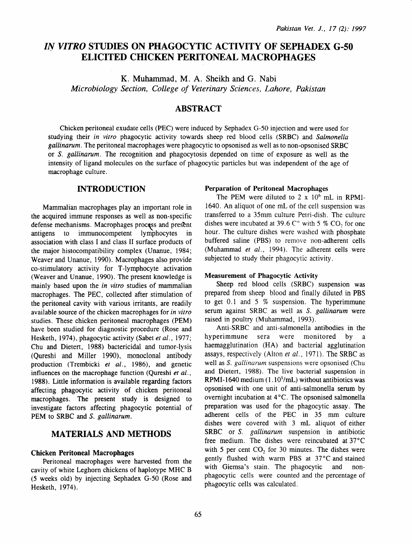# *IN VITRO* STUDIES ON PHAGOCYTIC ACTIVITY OF SEPHADEX G-50 **ELICITED CHICKEN PERITONEAL MACROPHAGES**

K. Muhammad, M. A. Sheikh and G. Nabi *Microbiology Section, College of Veterinary Sciences, Lahore, Pakistan* 

# ABSTRACT

Chicken peritoneal exudate cells (PEC) were induced by Sephadex G-50 injection and were used for studying their *in vitro* phagocytic activity towards sheep red blood cells (SRBC) and *Salmonella gallinarum*. The peritoneal macrophages were phagocytic to opsonised as well as to non-opsonised SRBC or *S. gallinarum.* The recognition and phagocytosis depended on time of exposure as well as the intensity of ligand molecules on the surface of phagocytic particles but was independent of the age of macrophage culture.

### INTRODUCTION

Mammalian macrophages play an important role in the acquired immune responses as well as non-specific defense mechanisms. Macrophages process and present antigens to immunocompetent lymphocytes in association with class I and class II surface products of the major histocompatibility complex (Unanue, 1984; Weaver and Unanue, 1990). Macrophages also provide co-stimulatory activity for T -lymphocyte activation (Weaver and Unanue, 1990). The present knowledge is mainly based upon the *in vitro* studies of mammalian macrophages. The PEC, collected after stimulation of the peritoneal cavity with various irritants, are readily available source of the chicken macrophages for *in vitro*  studies. These chicken peritoneal macrophages (PEM) have been studied for diagnostic procedure (Rose and Hesketh, 1974), phagocytic activity (Sabet *et al.,* 1977; Chu and Dietert, 1988) bactericidal and tumor-lysis (Qureshi and Miller 1990), monoclonal antibody production (Trembicki *et al.,* 1986), and genetic influences on the macrophage function (Qureshi *et al.,*  1988). Little information is available regarding factors affecting phagocytic activity of chicken peritoneal macrophages. The present study is designed to investigate factors affecting phagocytic potential of PEM to SRBC and S. *gallinarum.* 

### MATERIALS AND METHODS

#### Chicken Peritoneal Macrophages

Peritoneal macrophages were harvested from the cavity of white Leghorn chickens of haplotype MHC B (5 weeks old) by injecting Sephadex G-50 (Rose and Hesketh, 1974).

#### Perparation of Peritoneal Macrophages

The PEM were diluted to 2  $\times$  10<sup>6</sup> mL in RPMI-1640. An aliquot of one mL of the cell suspension was transferred to a 35mm culture Petri-dish. The culture dishes were incubated at 39.6  $C^{\circ}$  with 5 % CO<sub>2</sub> for one hour. The culture dishes were washed with phosphate buffered saline (PBS) to remove non-adherent cells (Muhammad *et al.,* 1994). The adherent cells were subjected to study their phagocytic activity.

#### Measurement of Phagocytic· Activity

Sheep red blood cells (SRBC) suspension was prepared from sheep blood and finally diluted in PBS to get 0.1 and 5  $%$  suspension. The hyperimmune serum against SRBC as well as S. *gallinarum* were raised in poultry (Muhammad, 1993).

Anti-SRBC and anti-salmonella antibodies in the hyperimmune sera were monitored by a haemagglutination (HA) and bacterial agglutination assays, respectively (Alton *et al.,* 1971). The SRBC as well as S. *gallinarum* suspensions were opsonised (Chu and Dietert, 1988). The live bacterial suspension in RPMI-1640 medium  $(1.10<sup>5</sup>/mL)$  without antibiotics was opsonised with one unit of anti-salmonella serum by overnight incubation at 4 °C. The opsonised salmonella preparation was used for the phagocytic assay. The adherent cells of the PEC in 35 mm culture dishes were covered with 3 mL aliquot of either SRBC or *S. gallinarum* suspension in antibiotic free medium. The dishes were reincubated at 37°C with 5 per cent  $CO<sub>2</sub>$  for 30 minutes. The dishes were gently flushed with warm PBS at 37°C and stained with Giemsa's stain. The phagocytic and nonphagocytic cells were counted and the percentage of phagocytic cells was calculated.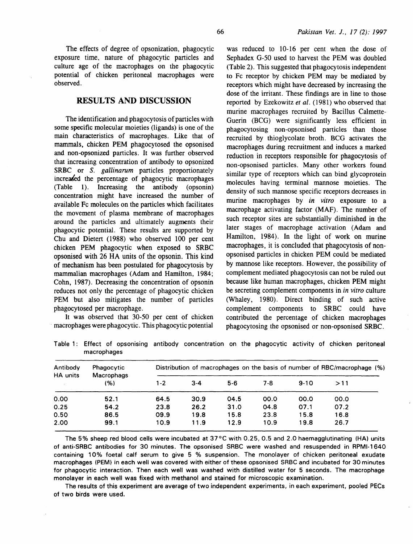### RESULTS AND DISCUSSION

The identification and phagocytosis of particles with some specific molecular moieties (ligands) is one of the main characteristics of macrophages. Like that of mammals, chicken PEM phagocytosed the opsonised and non-opsonized particles. It was further observed that increasing concentration of antibody to opsonized SRBC or *S. gallinarum* particles proportionately increased the percentage of phagocytic macrophages (Table 1). Increasing the antibody (opsonin) concentration might have increased the number of available Fe molecules on the particles which facilitates the movement of plasma membrane of macrophages around the particles and ultimately augments their phagocytic potential. These results are supported by Chu and Dietert ( 1988) who observed 100 per cent chicken PEM phagocytic when exposed to SRBC opsonised with 26 HA units of the opsonin. This kind of mechanism has been postulated for phagocytosis by mammalian macrophages (Adam and Hamilton, 1984; Cohn, 1987). Decreasing the concentration of opsonin reduces not only the percentage of phagocytic chicken PEM but also mitigates the number of particles phagocytosed per macrophage.

It was observed that 30-50 per cent of chicken macrophages were phagocytic. This phagocytic potential

was reduced to 10-16 per cent when the dose of Sephadex G-50 used to harvest the PEM was doubled (Table 2). This suggested that phagocytosis independent to Fe receptor by chicken PEM may be mediated by receptors which might have decreased by increasing the dose of the irritant. These findings are in line to those reported by Ezekowitz et al. (1981) who observed that murine macrophages recruited by Bacillus Calmette-Guerin (BCG) were significantly less efficient in phagocytosing non-opsonised particles than those recruited by thioglycolate broth. BCG activates the macrophages during recruitment and induces a marked reduction in receptors responsible for phagocytosis of non-opsonised particles. Many other workers found similar type of receptors which can bind glycoprotein molecules having terminal mannose moieties. The density of such mannose specific receptors decreases in murine macrophages by *in vitro* exposure to a macrophage activating factor (MAF). The number of such receptor sites are substantially diminished in the later stages of macrophage activation (Adam and Hamilton, 1984). In the light of work on murine macrophages, it is concluded that phagocytosis of nonopsonised particles in chicken PEM could be mediated by mannose like receptors. However, the possibility of complement mediated phagocytosis can not be ruled out because like human macrophages, chicken PEM might be secreting complement components in *in vitro* culture (Whaley, 1980). Direct binding of such active complement components to SRBC could have contributed the percentage of chicken macrophages phagocytosing the opsonised or non-opsonised SRBC.

on the phagocytic activity of chicken peritoneal

|             |  | Table 1: Effect of opsonising antibody concentration on the phagocytic activity of chicken peritoneal |  |  |  |  |
|-------------|--|-------------------------------------------------------------------------------------------------------|--|--|--|--|
| macrophages |  |                                                                                                       |  |  |  |  |
|             |  |                                                                                                       |  |  |  |  |

| Antibody<br>HA units | <b>Phagocytic</b><br>Macrophags | Distribution of macrophages on the basis of number of RBC/macrophage (%) |         |       |      |        |      |  |
|----------------------|---------------------------------|--------------------------------------------------------------------------|---------|-------|------|--------|------|--|
|                      | (%)                             | 1-2                                                                      | $3 - 4$ | $5-6$ | 7-8  | $9-10$ | >11  |  |
| 0.00                 | 52.1                            | 64.5                                                                     | 30.9    | 04.5  | 00.0 | 00.0   | 00.0 |  |
| 0.25                 | 54.2                            | 23.8                                                                     | 26.2    | 31.0  | 04.8 | 07.1   | 07.2 |  |
| 0.50                 | 86.5                            | 09.9                                                                     | 19.8    | 15.8  | 23.8 | 15.8   | 16.8 |  |
| 2.00                 | 99.1                            | 10.9                                                                     | 11.9    | 12.9  | 10.9 | 19.8   | 26.7 |  |

The 5% sheep red blood cells were incubated at 37°C with 0.25, 0.5 and 2.0 haemagglutinating (HA) units of anti-SRBC antibodies for 30 minutes. The opsonised SRBC were washed and resuspended in RPMI-1640 containing 10% foetal calf serum to give 5 % suspension. The monolayer of chicken peritoneal exudate macrophages (PEM) in each well was covered with either of these opsonised SRBC and incubated for 30 minutes for phagocytic interaction. Then each well was washed with distilled water for 5 seconds. The macrophage monolayer in each well was fixed with methanol and stained for microscopic examination.

The results of this experiment are average of two independent experiments, in each experiment, pooled PECs of two birds were used.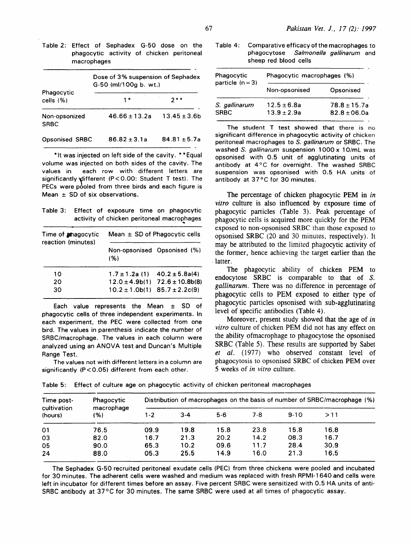Table 2: Effect of Sephadex G-50 dose on the phagocytic activity of chicken peritoneal macrophages

|                              | Dose of 3% suspension of Sephadex<br>G-50 (ml/100g b. wt.) |                  |  |  |  |  |
|------------------------------|------------------------------------------------------------|------------------|--|--|--|--|
| Phagocytic<br>cells $(% )$   | 1 *                                                        | $\cdots$         |  |  |  |  |
| Non-opsonized<br><b>SRBC</b> | $46.66 \pm 13.2a$                                          | $13.45 \pm 3.6b$ |  |  |  |  |
| <b>Opsonised SRBC</b>        | $86.82 \pm 3.1a$                                           | $84.81 \pm 5.7a$ |  |  |  |  |

\*It was injected on left side of the cavity. \* \*Equal volume was injected on both sides of the cavity. The values in each row with different letters are significantly different (P<0.00: Student T test). The PECs were pooled from three birds and each figure is Mean  $\pm$  SD of six observations.

Table 3: Effect of exposure time on phagocytic activity of chicken peritoneal macrophages

| Time of <b>anagocytic</b><br>reaction (minutes) | Mean $\pm$ SD of Phagocytic cells |                                        |  |  |  |  |
|-------------------------------------------------|-----------------------------------|----------------------------------------|--|--|--|--|
|                                                 | (%)                               | Non-opsonised Opsonised (%)            |  |  |  |  |
| 10                                              |                                   | $1.7 \pm 1.2a$ (1) $40.2 \pm 5.8a(4)$  |  |  |  |  |
| 20                                              |                                   | $12.0 \pm 4.9b(1)$ $72.6 \pm 10.8b(8)$ |  |  |  |  |
| 30                                              |                                   | $10.2 \pm 1.0$ b(1) 85.7 ± 2.2c(9)     |  |  |  |  |

Each value represents the Mean ± SD of phagocytic cells of three independent experiments. In each experiment, the PEC were collected from one bird. The values in parenthesis indicate the number of SRBC/macrophage. The values in each column were analyzed using an ANOVA test and Duncan's Multiple Range Test.

The values not with different letters in a column are significantly (P<0.05) different from each other.

Table 4: Comparative efficacy of the macrophages to phagocytose Salmonella gallinarum and sheep red blood cells

| Phagocytic<br>particle $(n=3)$ | Phagocytic macrophages (%) |                  |  |  |  |  |
|--------------------------------|----------------------------|------------------|--|--|--|--|
|                                | Non-opsonised              | Opsonised        |  |  |  |  |
| S. gallinarum                  | $12.5 + 6.8a$              | $78.8 \pm 15.7a$ |  |  |  |  |
| <b>SRBC</b>                    | $13.9 + 2.9a$              | $82.8 + 06.0a$   |  |  |  |  |

The student T test showed that there is no significant difference in phagocytic activity of chicken peritoneal macrophages to S. gallinarum or SRBC. The washed S. gallinarum suspension 1000 x 10/mL was opsonised with 0.5 unit of agglutinating units of antibody at 4°C for overnight. The washed SRBC suspension was opsonised with 0.5 HA units of antibody at 37 °C for 30 minutes.

The percentage of chicken phagocytic PEM in *in vitro* culture is also influenced by exposure time of phagocytic particles (Table 3). Peak percentage of phagocytic cells is acquired more quickly for the PEM exposed to non-opsonised SRBC than those exposed to opsonised SRBC (20 and 30 minutes, respectively). It may be attributed to the limited phagocytic activity of the former, hence achieving the target earlier than the . latter.

The phagocytic ability of chicken PEM to endocytose SRBC is comparable to that of *S. gallinarum.* There was no difference in percentage of phagocytic cells to PEM exposed to either type of phagocytic particles opsonised with sub-agglutinating level of specific antibodies (Table 4).

Moreover, present study showed that the age of *in vitro* culture of chicken PEM did not has any effect on the ability ofmacrophage to phagocytose the opsonised SRBC (Table 5). These results are supported by Sabet *et al.* ( 1977) who observed constant level of phagocytosis to opsonised SRBC of chicken PEM over 5 weeks of *in vitro* culture.

|  |  |  |  | Table 5: Effect of culture age on phagocytic activity of chicken peritoneal macrophages |
|--|--|--|--|-----------------------------------------------------------------------------------------|
|--|--|--|--|-----------------------------------------------------------------------------------------|

| Time post-             | Phagocytic<br>macrophage<br>(%) | Distribution of macrophages on the basis of number of SRBC/macrophage (%) |         |         |      |        |      |  |
|------------------------|---------------------------------|---------------------------------------------------------------------------|---------|---------|------|--------|------|--|
| cultivation<br>(hours) |                                 | 1-2                                                                       | $3 - 4$ | $5 - 6$ | 7-8  | $9-10$ | >11  |  |
| O <sub>1</sub>         | 76.5                            | 09.9                                                                      | 19.8    | 15.8    | 23.8 | 15.8   | 16.8 |  |
| 03                     | 82.0                            | 16.7                                                                      | 21.3    | 20.2    | 14.2 | 08.3   | 16.7 |  |
| 05                     | 90.0                            | 65.3                                                                      | 10.2    | 09.6    | 11.7 | 28.4   | 30.9 |  |
| 24                     | 88.0                            | 05.3                                                                      | 25.5    | 14.9    | 16.0 | 21.3   | 16.5 |  |

The Sephadex G-50 recruited peritoneal exudate cells (PEC) from three chickens were pooled and incubated for 30 minutes. The adherent cells were washed and medium was replaced with fresh RPMI-1640 and cells were left in incubator for different times before an assay. Five percent SRBC were sensitized with 0.5 HA units of anti-SRBC antibody at 37°C for 30 minutes. The same SRBC were used at all times of phagocytic assay.